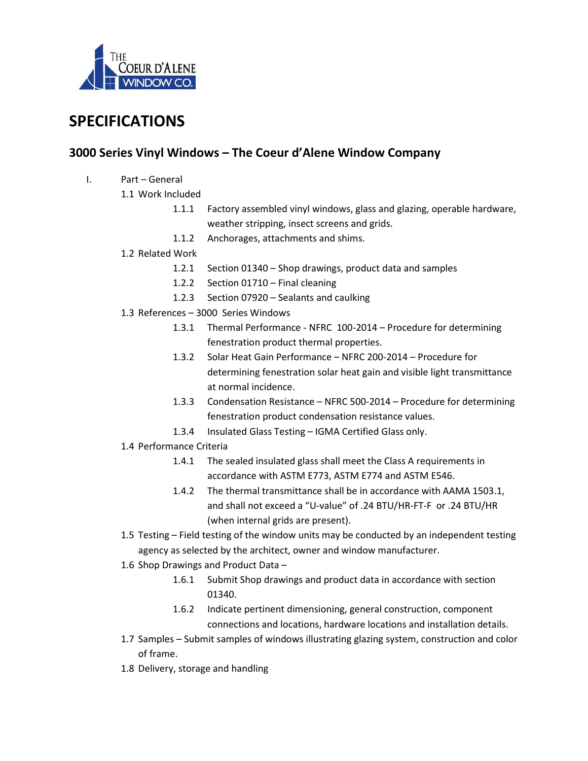

## SPECIFICATIONS

## 3000 Series Vinyl Windows – The Coeur d'Alene Window Company

- I. Part General
	- 1.1 Work Included
		- 1.1.1 Factory assembled vinyl windows, glass and glazing, operable hardware, weather stripping, insect screens and grids.
		- 1.1.2 Anchorages, attachments and shims.
	- 1.2 Related Work
		- 1.2.1 Section 01340 Shop drawings, product data and samples
		- 1.2.2 Section 01710 Final cleaning
		- 1.2.3 Section 07920 Sealants and caulking
	- 1.3 References 3000 Series Windows
		- 1.3.1 Thermal Performance NFRC 100-2014 Procedure for determining fenestration product thermal properties.
		- 1.3.2 Solar Heat Gain Performance NFRC 200-2014 Procedure for determining fenestration solar heat gain and visible light transmittance at normal incidence.
		- 1.3.3 Condensation Resistance NFRC 500-2014 Procedure for determining fenestration product condensation resistance values.
		- 1.3.4 Insulated Glass Testing IGMA Certified Glass only.
	- 1.4 Performance Criteria
		- 1.4.1 The sealed insulated glass shall meet the Class A requirements in accordance with ASTM E773, ASTM E774 and ASTM E546.
		- 1.4.2 The thermal transmittance shall be in accordance with AAMA 1503.1, and shall not exceed a "U-value" of .24 BTU/HR-FT-F or .24 BTU/HR (when internal grids are present).
	- 1.5 Testing Field testing of the window units may be conducted by an independent testing agency as selected by the architect, owner and window manufacturer.
	- 1.6 Shop Drawings and Product Data
		- 1.6.1 Submit Shop drawings and product data in accordance with section 01340.
		- 1.6.2 Indicate pertinent dimensioning, general construction, component connections and locations, hardware locations and installation details.
	- 1.7 Samples Submit samples of windows illustrating glazing system, construction and color of frame.
	- 1.8 Delivery, storage and handling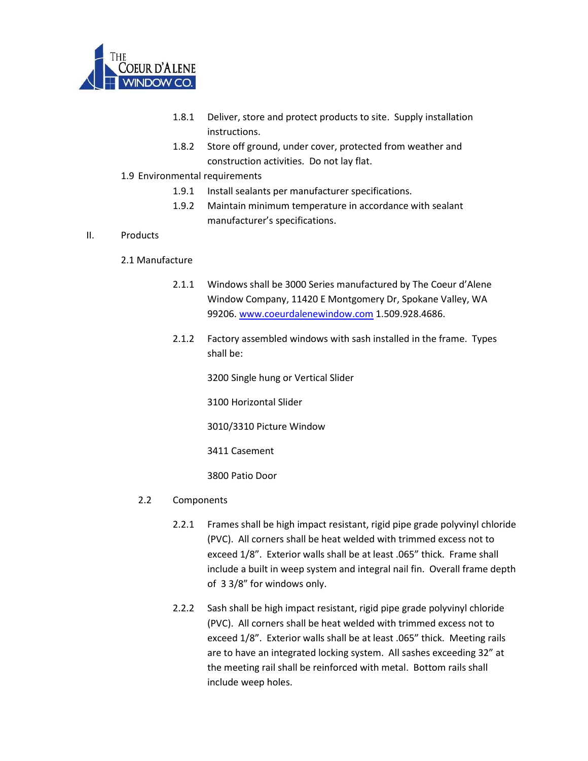

- 1.8.1 Deliver, store and protect products to site. Supply installation instructions.
- 1.8.2 Store off ground, under cover, protected from weather and construction activities. Do not lay flat.
- 1.9 Environmental requirements
	- 1.9.1 Install sealants per manufacturer specifications.
	- 1.9.2 Maintain minimum temperature in accordance with sealant manufacturer's specifications.

## II. Products

- 2.1 Manufacture
	- 2.1.1 Windows shall be 3000 Series manufactured by The Coeur d'Alene Window Company, 11420 E Montgomery Dr, Spokane Valley, WA 99206. www.coeurdalenewindow.com 1.509.928.4686.
	- 2.1.2 Factory assembled windows with sash installed in the frame. Types shall be:

3200 Single hung or Vertical Slider

3100 Horizontal Slider

3010/3310 Picture Window

3411 Casement

3800 Patio Door

## 2.2 Components

- 2.2.1 Frames shall be high impact resistant, rigid pipe grade polyvinyl chloride (PVC). All corners shall be heat welded with trimmed excess not to exceed 1/8". Exterior walls shall be at least .065" thick. Frame shall include a built in weep system and integral nail fin. Overall frame depth of 3 3/8" for windows only.
- 2.2.2 Sash shall be high impact resistant, rigid pipe grade polyvinyl chloride (PVC). All corners shall be heat welded with trimmed excess not to exceed 1/8". Exterior walls shall be at least .065" thick. Meeting rails are to have an integrated locking system. All sashes exceeding 32" at the meeting rail shall be reinforced with metal. Bottom rails shall include weep holes.